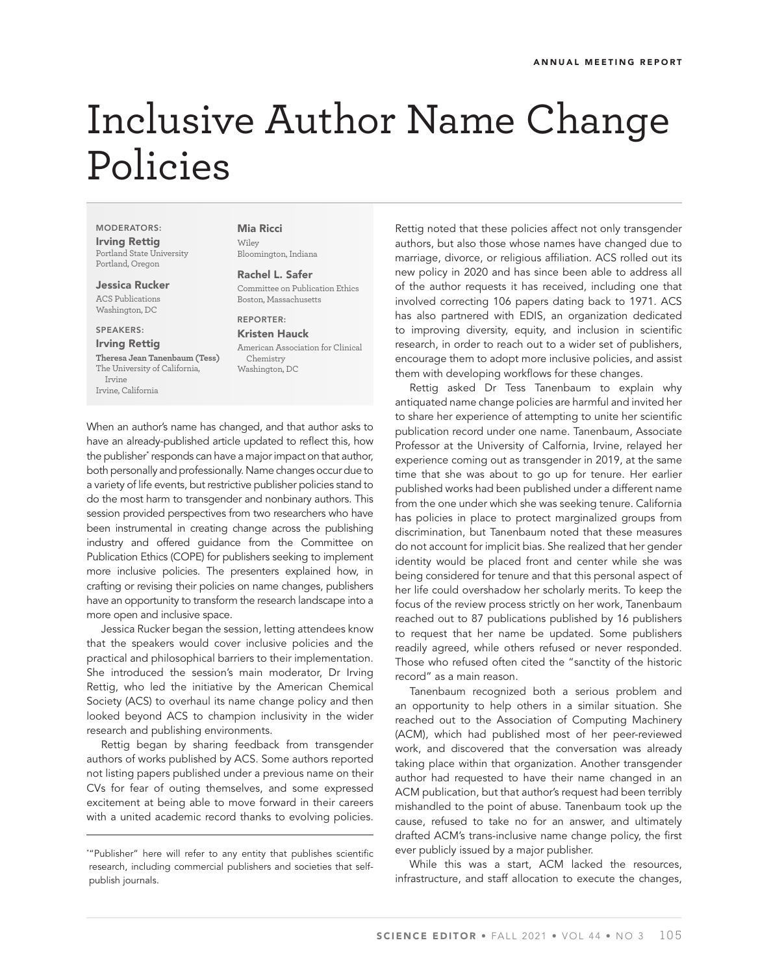## Inclusive Author Name Change Policies

MODERATORS: Irving Rettig Portland State University Portland, Oregon

Jessica Rucker

ACS Publications Washington, DC

SPEAKERS:

Irving Rettig

**Theresa Jean Tanenbaum (Tess)** The University of California, Irvine Irvine, California

Mia Ricci Wiley Bloomington, Indiana

Rachel L. Safer Committee on Publication Ethics Boston, Massachusetts

REPORTER:

Kristen Hauck American Association for Clinical Chemistry Washington, DC

When an author's name has changed, and that author asks to have an already-published article updated to reflect this, how the publisher\* responds can have a major impact on that author, both personally and professionally. Name changes occur due to a variety of life events, but restrictive publisher policies stand to do the most harm to transgender and nonbinary authors. This session provided perspectives from two researchers who have been instrumental in creating change across the publishing industry and offered guidance from the Committee on Publication Ethics (COPE) for publishers seeking to implement more inclusive policies. The presenters explained how, in crafting or revising their policies on name changes, publishers have an opportunity to transform the research landscape into a more open and inclusive space.

Jessica Rucker began the session, letting attendees know that the speakers would cover inclusive policies and the practical and philosophical barriers to their implementation. She introduced the session's main moderator, Dr Irving Rettig, who led the initiative by the American Chemical Society (ACS) to overhaul its name change policy and then looked beyond ACS to champion inclusivity in the wider research and publishing environments.

Rettig began by sharing feedback from transgender authors of works published by ACS. Some authors reported not listing papers published under a previous name on their CVs for fear of outing themselves, and some expressed excitement at being able to move forward in their careers with a united academic record thanks to evolving policies.

Rettig noted that these policies affect not only transgender authors, but also those whose names have changed due to marriage, divorce, or religious affiliation. ACS rolled out its new policy in 2020 and has since been able to address all of the author requests it has received, including one that involved correcting 106 papers dating back to 1971. ACS has also partnered with EDIS, an organization dedicated to improving diversity, equity, and inclusion in scientific research, in order to reach out to a wider set of publishers, encourage them to adopt more inclusive policies, and assist them with developing workflows for these changes.

Rettig asked Dr Tess Tanenbaum to explain why antiquated name change policies are harmful and invited her to share her experience of attempting to unite her scientific publication record under one name. Tanenbaum, Associate Professor at the University of Calfornia, Irvine, relayed her experience coming out as transgender in 2019, at the same time that she was about to go up for tenure. Her earlier published works had been published under a different name from the one under which she was seeking tenure. California has policies in place to protect marginalized groups from discrimination, but Tanenbaum noted that these measures do not account for implicit bias. She realized that her gender identity would be placed front and center while she was being considered for tenure and that this personal aspect of her life could overshadow her scholarly merits. To keep the focus of the review process strictly on her work, Tanenbaum reached out to 87 publications published by 16 publishers to request that her name be updated. Some publishers readily agreed, while others refused or never responded. Those who refused often cited the "sanctity of the historic record" as a main reason.

Tanenbaum recognized both a serious problem and an opportunity to help others in a similar situation. She reached out to the Association of Computing Machinery (ACM), which had published most of her peer-reviewed work, and discovered that the conversation was already taking place within that organization. Another transgender author had requested to have their name changed in an ACM publication, but that author's request had been terribly mishandled to the point of abuse. Tanenbaum took up the cause, refused to take no for an answer, and ultimately drafted ACM's trans-inclusive name change policy, the first ever publicly issued by a major publisher.

While this was a start, ACM lacked the resources, infrastructure, and staff allocation to execute the changes,

<sup>\*</sup> "Publisher" here will refer to any entity that publishes scientific research, including commercial publishers and societies that selfpublish journals.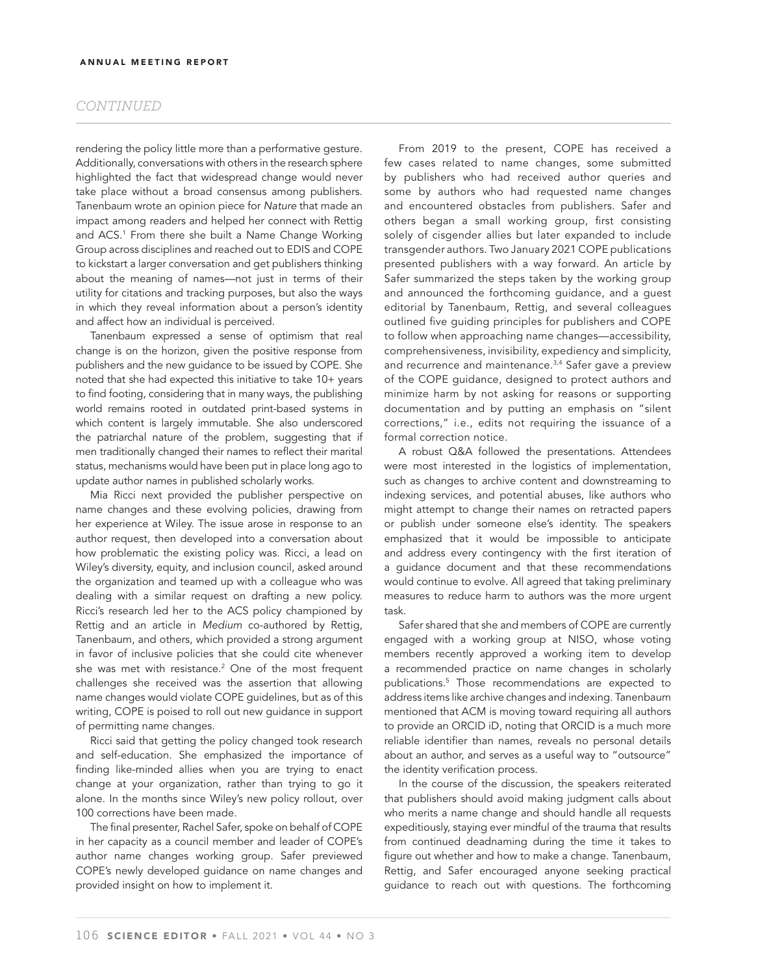#### *CONTINUED*

rendering the policy little more than a performative gesture. Additionally, conversations with others in the research sphere highlighted the fact that widespread change would never take place without a broad consensus among publishers. Tanenbaum wrote an opinion piece for *Nature* that made an impact among readers and helped her connect with Rettig and ACS.1 From there she built a Name Change Working Group across disciplines and reached out to EDIS and COPE to kickstart a larger conversation and get publishers thinking about the meaning of names—not just in terms of their utility for citations and tracking purposes, but also the ways in which they reveal information about a person's identity and affect how an individual is perceived.

Tanenbaum expressed a sense of optimism that real change is on the horizon, given the positive response from publishers and the new guidance to be issued by COPE. She noted that she had expected this initiative to take 10+ years to find footing, considering that in many ways, the publishing world remains rooted in outdated print-based systems in which content is largely immutable. She also underscored the patriarchal nature of the problem, suggesting that if men traditionally changed their names to reflect their marital status, mechanisms would have been put in place long ago to update author names in published scholarly works.

Mia Ricci next provided the publisher perspective on name changes and these evolving policies, drawing from her experience at Wiley. The issue arose in response to an author request, then developed into a conversation about how problematic the existing policy was. Ricci, a lead on Wiley's diversity, equity, and inclusion council, asked around the organization and teamed up with a colleague who was dealing with a similar request on drafting a new policy. Ricci's research led her to the ACS policy championed by Rettig and an article in *Medium* co-authored by Rettig, Tanenbaum, and others, which provided a strong argument in favor of inclusive policies that she could cite whenever she was met with resistance.2 One of the most frequent challenges she received was the assertion that allowing name changes would violate COPE guidelines, but as of this writing, COPE is poised to roll out new guidance in support of permitting name changes.

Ricci said that getting the policy changed took research and self-education. She emphasized the importance of finding like-minded allies when you are trying to enact change at your organization, rather than trying to go it alone. In the months since Wiley's new policy rollout, over 100 corrections have been made.

The final presenter, Rachel Safer, spoke on behalf of COPE in her capacity as a council member and leader of COPE's author name changes working group. Safer previewed COPE's newly developed guidance on name changes and provided insight on how to implement it.

From 2019 to the present, COPE has received a few cases related to name changes, some submitted by publishers who had received author queries and some by authors who had requested name changes and encountered obstacles from publishers. Safer and others began a small working group, first consisting solely of cisgender allies but later expanded to include transgender authors. Two January 2021 COPE publications presented publishers with a way forward. An article by Safer summarized the steps taken by the working group and announced the forthcoming guidance, and a guest editorial by Tanenbaum, Rettig, and several colleagues outlined five guiding principles for publishers and COPE to follow when approaching name changes—accessibility, comprehensiveness, invisibility, expediency and simplicity, and recurrence and maintenance.<sup>3,4</sup> Safer gave a preview of the COPE guidance, designed to protect authors and minimize harm by not asking for reasons or supporting documentation and by putting an emphasis on "silent corrections," i.e., edits not requiring the issuance of a formal correction notice.

A robust Q&A followed the presentations. Attendees were most interested in the logistics of implementation, such as changes to archive content and downstreaming to indexing services, and potential abuses, like authors who might attempt to change their names on retracted papers or publish under someone else's identity. The speakers emphasized that it would be impossible to anticipate and address every contingency with the first iteration of a guidance document and that these recommendations would continue to evolve. All agreed that taking preliminary measures to reduce harm to authors was the more urgent task.

Safer shared that she and members of COPE are currently engaged with a working group at NISO, whose voting members recently approved a working item to develop a recommended practice on name changes in scholarly publications.5 Those recommendations are expected to address items like archive changes and indexing. Tanenbaum mentioned that ACM is moving toward requiring all authors to provide an ORCID iD, noting that ORCID is a much more reliable identifier than names, reveals no personal details about an author, and serves as a useful way to "outsource" the identity verification process.

In the course of the discussion, the speakers reiterated that publishers should avoid making judgment calls about who merits a name change and should handle all requests expeditiously, staying ever mindful of the trauma that results from continued deadnaming during the time it takes to figure out whether and how to make a change. Tanenbaum, Rettig, and Safer encouraged anyone seeking practical guidance to reach out with questions. The forthcoming